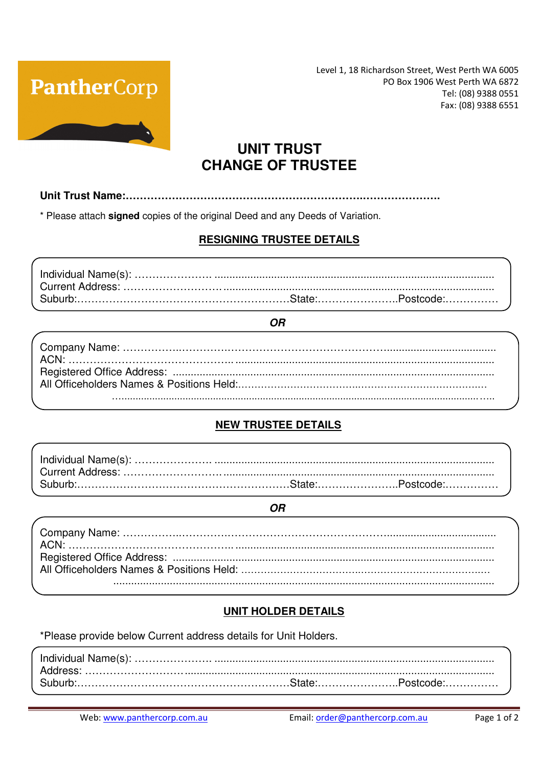

Level 1, 18 Richardson Street, West Perth WA 6005 PO Box 1906 West Perth WA 6872 Tel: (08) 9388 0551 Fax: (08) 9388 6551

# **UNIT TRUST CHANGE OF TRUSTEE**

Unit Trust Name:.................................. 

\* Please attach signed copies of the original Deed and any Deeds of Variation.

### **RESIGNING TRUSTEE DETAILS**

#### **OR**

### **NEW TRUSTEE DETAILS**

#### **OR**

### **UNIT HOLDER DETAILS**

\*Please provide below Current address details for Unit Holders.